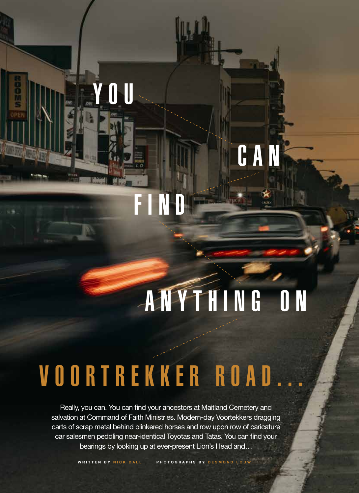# ANYTHING O N

CAN

# VOORTREKKER ROAD.

Voortrekker Road

FIND

YOU

Really, you can. You can find your ancestors at Maitland Cemetery and salvation at Command of Faith Ministries. Modern-day Voortekkers dragging carts of scrap metal behind blinkered horses and row upon row of caricature car salesmen peddling near-identical Toyotas and Tatas. You can find your bearings by looking up at ever-present Lion's Head and…

WRITTEN BY NICK DALL PHOTOGRAPHS BY DESMOND LOUW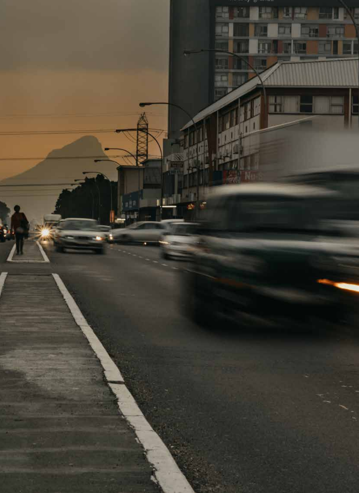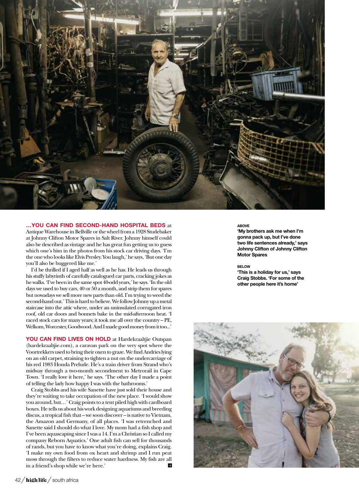

#### …YOU CAN FIND SECOND-HAND HOSPITAL BEDS at

Antique Warehouse in Bellville or the wheel from a 1928 Studebaker at Johnny Clifton Motor Spares in Salt River. Johnny himself could also be described as vintage and he has great fun getting us to guess which one's him in the photos from his stock car driving days. 'I'm the one who looks like Elvis Presley. You laugh,' he says, 'But one day you'll also be buggered like me.'

I'd be thrilled if I aged half as well as he has. He leads us through his stuffy labyrinth of carefully catalogued car parts, cracking jokes as he walks. 'I've been in the same spot 40-odd years,' he says. 'In the old days we used to buy cars, 40 or 50 a month, and strip them for spares but nowadays we sell more new parts than old. I'm trying to weed the second-hand out.' This is hard to believe. We follow Johnny up a metal staircase into the attic where, under an uninsulated corrugated iron roof, old car doors and bonnets bake in the mid-afternoon heat. 'I raced stock cars for many years; it took me all over the country – PE, Welkom, Worcester, Goodwood. And I made good money from it too...'

YOU CAN FIND LIVES ON HOLD at Hardekraaltjie Outspan (hardekraaltjie.com), a caravan park on the very spot where the Voortrekkers used to bring their oxen to graze. We find Andries lying on an old carpet, straining to tighten a nut on the undercarriage of his red 1983 Honda Prelude. He's a train driver from Strand who's midway through a two-month secondment to Metrorail in Cape Town. 'I really love it here,' he says. 'The other day I made a point of telling the lady how happy I was with the bathrooms.'

Craig Stobbs and his wife Sanette have just sold their house and they're waiting to take occupation of the new place. 'I would show you around, but…' Craig points to a tent piled high with cardboard boxes. He tells us about his work designing aquariums and breeding discus, a tropical fish that – we soon discover – is native to Vietnam, the Amazon and Germany, of all places. 'I was retrenched and Sanette said I should do what I love. My mom had a fish shop and I've been aquascaping since I was a 14. I'm a Christian so I called my company Reborn Aquatics.' One adult fish can sell for thousands of rands, but you have to know what you're doing, explains Craig. 'I make my own food from ox heart and shrimp and I run peat moss through the filters to reduce water hardness. My fish are all in a friend's shop while we're here.'  $\rightarrow$ 

#### **ABOVE**

'My brothers ask me when I'm gonna pack up, but I've done two life sentences already,' says Johnny Clifton of Johnny Clifton Motor Spares

#### **BELOW**

'This is a holiday for us,' says Craig Stobbs. 'For some of the other people here it's home'

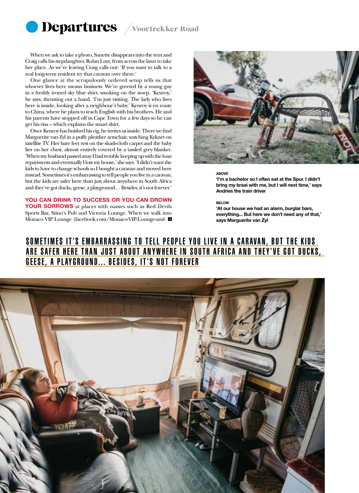When we ask to take a photo, Sanette disappears into the tent and Craig calls his stepdaughter, Rolan Luyt, from across the lawn to take her place. As we're leaving Craig calls out: 'If you want to talk to a real long-term resident try that caravan over there.'

One glance at the scrupulously ordered setup tells us that whoever lives here means business. We're greeted by a young guy in a freshly ironed sky blue shirt, smoking on the stoep. 'Kenroy,' he says, thrusting out a hand. 'I'm just visiting. The lady who lives here is inside, looking after a neighbour's baby.' Kenroy is en route to China, where he plans to teach English with his brothers. He and his parents have stopped off in Cape Town for a few days so he can get his visa – which explains the smart shirt.

Once Kenroy has finished his cig, he invites us inside. There we find Marguerite van Zyl in a puffy pleather armchair, watching Kyknet on satellite TV. Her bare feet rest on the shadecloth carpet and the baby lies on her chest, almost entirely covered by a tassled grey blanket. 'When my husband passed away I had trouble keeping up with the loan repayments and eventually I lost my house,' she says. 'I didn't want the kids to have to change schools so I bought a caravan and moved here instead. Sometimes it's embarrassing to tell people you live in a caravan, but the kids are safer here than just about anywhere in South Africa and they've got ducks, geese, a playground… Besides, it's not forever.'

YOU CAN DRINK TO SUCCESS OR YOU CAN DROWN YOUR SORROWS at places with names such as Red Devils Sports Bar, Stino's Pub and Victoria Lounge. When we walk into Monaco VIP Lounge (facebook.com/Monaco-VIP-Lounge-and-



#### **ABOVE**

'I'm a bachelor so I often eat at the Spur. I didn't bring my braai with me, but I will next time,' says Andries the train driver

#### BELOW

'At our house we had an alarm, burglar bars, everything... But here we don't need any of that,' says Marguerite van Zyl

### SOMETIMES IT'S EMBARRASSING TO TELL PEOPLE YOU LIVE IN A CARAVAN, BUT THE KIDS ARE SAFER HERE THAN JUST ABOUT ANYWHERE IN SOUTH AFRICA AND THEY'VE GOT DUCKS, GEESE, A PLAYGROUND... BESIDES, IT'S NOT FOREVER

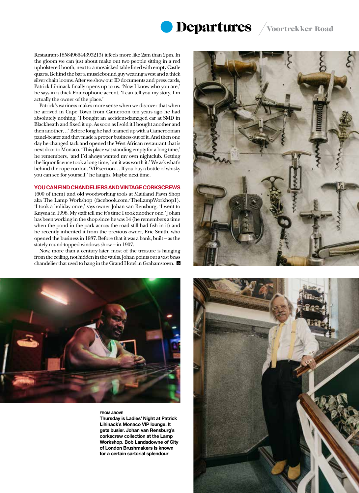Restaurant-1858496644393213) it feels more like 2am than 2pm. In the gloom we can just about make out two people sitting in a red upholstered booth, next to a mosaicked table lined with empty Castle quarts. Behind the bar a musclebound guy wearing a vest and a thick silver chain looms. After we show our ID documents and press cards, Patrick Lihinack finally opens up to us. 'Now I know who you are,' he says in a thick Francophone accent, 'I can tell you my story. I'm actually the owner of the place.'

Patrick's wariness makes more sense when we discover that when he arrived in Cape Town from Cameroon ten years ago he had absolutely nothing. 'I bought an accident-damaged car at SMD in Blackheath and fixed it up. As soon as I sold it I bought another and then another…' Before long he had teamed up with a Cameroonian panel-beater and they made a proper business out of it. And then one day he changed tack and opened the West African restaurant that is next door to Monaco. 'This place was standing empty for a long time,' he remembers, 'and I'd always wanted my own nightclub. Getting the liquor licence took a long time, but it was worth it.' We ask what's behind the rope cordon. 'VIP section… If you buy a bottle of whisky you can see for yourself,' he laughs. Maybe next time.

#### YOU CAN FIND CHANDELIERS AND VINTAGE CORKSCREWS

(600 of them) and old woodworking tools at Maitland Pawn Shop aka The Lamp Workshop (facebook.com/TheLampWorkhop1). 'I took a holiday once,' says owner Johan van Rensburg. 'I went to Knysna in 1998. My staff tell me it's time I took another one.' Johan has been working in the shop since he was 14 (he remembers a time when the pond in the park across the road still had fish in it) and he recently inherited it from the previous owner, Eric Smith, who opened the business in 1987. Before that it was a bank, built – as the stately round-topped windows show – in 1907.

Now, more than a century later, most of the treasure is hanging from the ceiling, not hidden in the vaults. Johan points out a vast brass chandelier that used to hang in the Grand Hotel in Grahamstown.





#### FROM ABOVE

Thursday is Ladies' Night at Patrick Lihinack's Monaco VIP lounge. It gets busier. Johan van Rensburg's corkscrew collection at the Lamp Workshop. Bob Landsdowne of City of London Brushmakers is known for a certain sartorial splendour

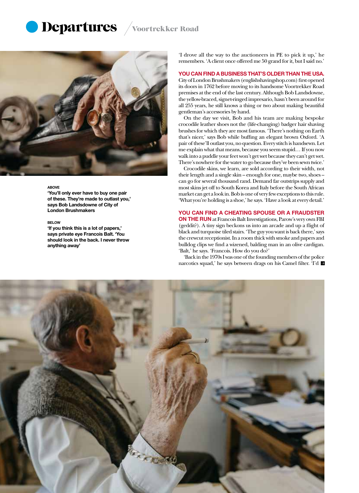

#### ABOVE

'You'll only ever have to buy one pair of these. They're made to outlast you,' says Bob Landsdowne of City of London Brushmakers

#### BELOW

'If you think this is a lot of papers,' says private eye Francois Balt. 'You should look in the back. I never throw anything away'

'I drove all the way to the auctioneers in PE to pick it up,' he remembers. 'A client once offered me 50 grand for it, but I said no.'

#### YOU CAN FIND A BUSINESS THAT'S OLDER THAN THE USA.

City of London Brushmakers (englishshavingshop.com) first opened its doors in 1762 before moving to its handsome Voortrekker Road premises at the end of the last century. Although Bob Landsdowne, the yellow-braced, signet-ringed impresario, hasn't been around for all 255 years, he still knows a thing or two about making beautiful gentleman's accessories by hand.

On the day we visit, Bob and his team are making bespoke crocodile leather shoes not the (life-changing) badger hair shaving brushes for which they are most famous. 'There's nothing on Earth that's nicer,' says Bob while buffing an elegant brown Oxford. 'A pair of these'll outlast you, no question. Every stitch is handsewn. Let me explain what that means, because you seem stupid… If you now walk into a puddle your feet won't get wet because they can't get wet. There's nowhere for the water to go because they've been sewn twice.'

Crocodile skins, we learn, are sold according to their width, not their length and a single skin – enough for one, maybe two, shoes – can go for several thousand rand. Demand far outstrips supply and most skins jet off to South Korea and Italy before the South African market can get a look in. Bob is one of very few exceptions to this rule. 'What you're holding is a shoe,' he says. 'Have a look at every detail.'

#### YOU CAN FIND A CHEATING SPOUSE OR A FRAUDSTER

ON THE RUN at Francois Balt Investigations, Parow's very own FBI (geddit?). A tiny sign beckons us into an arcade and up a flight of black and turquoise tiled stairs. 'The guy you want is back there,' says the crewcut receptionist. In a room thick with smoke and papers and bulldog clips we find a wizened, balding man in an olive cardigan. 'Balt,' he says. 'Francois. How do you do?'

'Back in the 1970s I was one of the founding members of the police narcotics squad,' he says between drags on his Camel filter. 'I'd

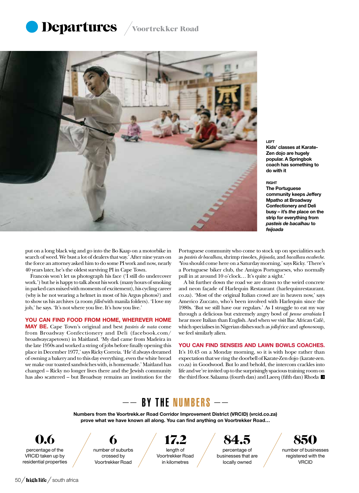

LEFT Kids' classes at Karate-Zen dojo are hugely popular. A Springbok coach has something to do with it

#### RIGHT

The Portuguese community keeps Jeffery Mpatho at Broadway Confectionery and Deli busy – it's *the* place on the strip for everything from *pasteis de bacalhau* to *feijoada*

put on a long black wig and go into the Bo Kaap on a motorbike in search of weed. We bust a lot of dealers that way.' After nine years on the force an attorney asked him to do some PI work and now, nearly 40 years later, he's the oldest surviving PI in Cape Town.

Francois won't let us photograph his face ('I still do undercover work.') but he is happy to talk about his work (many hours of smoking in parked cars mixed with moments of excitement), his cycling career (why is he not wearing a helmet in most of his Argus photos?) and to show us his archives (a room *filled* with manila folders). 'I love my job,' he says. 'It's not where you live. It's how you live.'

#### YOU CAN FIND FOOD FROM HOME, WHEREVER HOME

MAY BE. Cape Town's original and best *pasteis de nata* come from Broadway Confectionery and Deli (facebook.com/ broadwaycapetown) in Maitland. 'My dad came from Madeira in the late 1950s and worked a string of jobs before finally opening this place in December 1977,' says Ricky Correia. 'He'd always dreamed of owning a bakery and to this day everything, even the white bread we make our toasted sandwiches with, is homemade.' Maitland has changed – Ricky no longer lives there and the Jewish community has also scattered – but Broadway remains an institution for the Portuguese community who come to stock up on specialities such as *pasteis de bacalhau,* shrimp rissoles*, feijoada,* and *bacalhau escabeche*. 'You should come here on a Saturday morning,' says Ricky. 'There's a Portuguese biker club, the Amigos Portugueses, who normally pull in at around 10 o'clock… It's quite a sight.'

A bit further down the road we are drawn to the weird concrete and neon façade of Harlequin Restaurant (harlequinrestaurant. co.za). 'Most of the original Italian crowd are in heaven now,' says Americo Zuccato, who's been involved with Harlequin since the 1980s. 'But we still have our regulars.' As I struggle to eat my way through a delicious but extremely angry bowl of *penne arrabiata* I hear more Italian than English. And when we visit Bac African Café, which specialises in Nigerian dishes such as *jollof* rice and *ogbono* soup, we feel similarly alien.

#### YOU CAN FIND SENSEIS AND LAWN BOWLS COACHES.

It's 10.43 on a Monday morning, so it is with hope rather than expectation that we ring the doorbell of Karate-Zen dojo (karate-zen. co.za) in Goodwood. But lo and behold, the intercom crackles into life and we're invited up to the surprisingly spacious training room on the third floor. Salaama (fourth dan) and Laeeq (fifth dan) Rhoda

## $--$  BY THE NUMBERS  $--$

Numbers from the Voortrekk.er Road Corridor Improvement District (VRCID) (vrcid.co.za) prove what we have known all along. You can find anything on Voortrekker Road…

0.6 percentage of the VRCID taken up by residential properties

number of suburbs crossed by Voortrekker Road

6

17.2 length of Voortrekker Road

in kilometres

84.5

percentage of businesses that are locally owned

850

number of businesses registered with the VRCID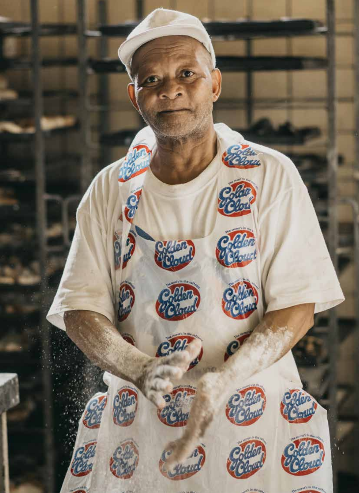